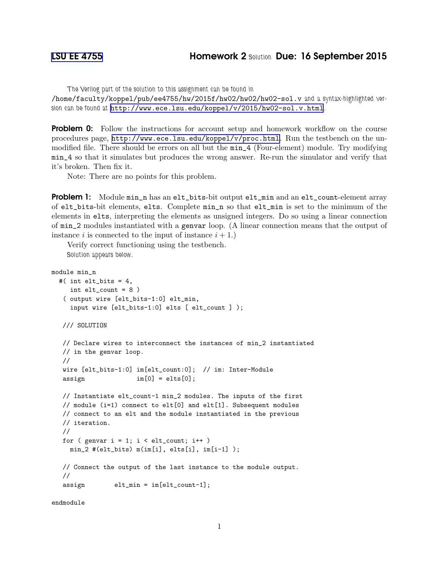The Verilog part of the solution to this assignment can be found in

/home/faculty/koppel/pub/ee4755/hw/2015f/hw02/hw02/hw02-sol.v and a syntax-highlighted version can be found at <http://www.ece.lsu.edu/koppel/v/2015/hw02-sol.v.html>.

**Problem 0:** Follow the instructions for account setup and homework workflow on the course procedures page, <http://www.ece.lsu.edu/koppel/v/proc.html>. Run the testbench on the unmodified file. There should be errors on all but the min\_4 (Four-element) module. Try modifying min\_4 so that it simulates but produces the wrong answer. Re-run the simulator and verify that it's broken. Then fix it.

Note: There are no points for this problem.

Problem 1: Module min\_n has an elt\_bits-bit output elt\_min and an elt\_count-element array of elt\_bits-bit elements, elts. Complete min\_n so that elt\_min is set to the minimum of the elements in elts, interpreting the elements as unsigned integers. Do so using a linear connection of min\_2 modules instantiated with a genvar loop. (A linear connection means that the output of instance i is connected to the input of instance  $i + 1$ .

Verify correct functioning using the testbench. Solution appears below.

```
module min_n
#( int elt_bits = 4,
   int elt_count = 8 )
 ( output wire [elt_bits-1:0] elt_min,
   input wire [elt_bits-1:0] elts [ elt_count ] );
/// SOLUTION
// Declare wires to interconnect the instances of min_2 instantiated
// in the genvar loop.
//
wire [elt_bits-1:0] im[elt_count:0]; // im: Inter-Module
\text{assign} \text{im}[0] = \text{elts}[0];// Instantiate elt_count-1 min_2 modules. The inputs of the first
// module (i=1) connect to elt[0] and elt[1]. Subsequent modules
// connect to an elt and the module instantiated in the previous
// iteration.
//
for ( genvar i = 1; i < elt_count; i++ )
  min_2 #(elt_bits) m(im[i], elts[i], im[i-1] );
// Connect the output of the last instance to the module output.
//
assign elt_min = im[elt_count-1];
```
endmodule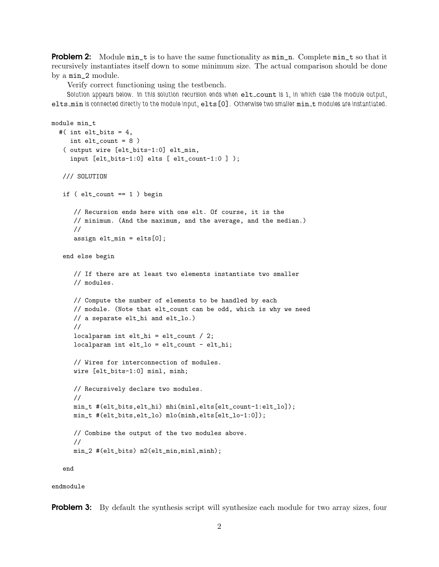**Problem 2:** Module min\_t is to have the same functionality as min\_n. Complete min\_t so that it recursively instantiates itself down to some minimum size. The actual comparison should be done by a min\_2 module.

Verify correct functioning using the testbench.

Solution appears below. In this solution recursion ends when elt\_count is 1, in which case the module output, elts\_min is connected directly to the module input, elts [0]. Otherwise two smaller min\_t modules are instantiated.

```
module min_t
#( int elt_bits = 4,
   int elt_count = 8 )
 ( output wire [elt_bits-1:0] elt_min,
   input [elt_bits-1:0] elts [ elt_count-1:0 ] );
/// SOLUTION
if ( elt_count == 1 ) begin
    // Recursion ends here with one elt. Of course, it is the
    // minimum. (And the maximum, and the average, and the median.)
    //
    assign elt_min = elts[0];
 end else begin
    // If there are at least two elements instantiate two smaller
    // modules.
    // Compute the number of elements to be handled by each
    // module. (Note that elt_count can be odd, which is why we need
    // a separate elt_hi and elt_lo.)
    //
    localparam int elt_hi = elt_count / 2;
    localparam int elt_lo = elt_count - elt_hi;
    // Wires for interconnection of modules.
    wire [elt_bits-1:0] minl, minh;
    // Recursively declare two modules.
    //
    min_t #(elt_bits,elt_hi) mhi(minl,elts[elt_count-1:elt_lo]);
    min_t #(elt_bits,elt_lo) mlo(minh,elts[elt_lo-1:0]);
    // Combine the output of the two modules above.
    //
   min_2 #(elt_bits) m2(elt_min,minl,minh);
```
end

endmodule

**Problem 3:** By default the synthesis script will synthesize each module for two array sizes, four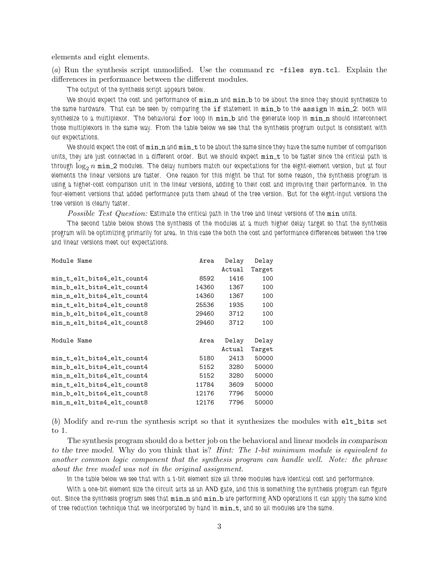elements and eight elements.

(*a*) Run the synthesis script unmodified. Use the command rc -files syn.tcl. Explain the differences in performance between the different modules.

The output of the synthesis script appears below.

We should expect the cost and performance of  $min_n$  and  $min_b$  to be about the since they should synthesize to the same hardware. That can be seen by comparing the if statement in min b to the assign in min 2: both will synthesize to a multiplexor. The behavioral  $for$  loop in  $min_b$  and the generate loop in  $min_m$  should interconnect those multiplexors in the same way. From the table below we see that the synthesis program output is consistent with our expectations.

We should expect the cost of  $min\_n$  and  $min\_t$  to be about the same since they have the same number of comparison units, they are just connected in a different order. But we should expect min\_t to be faster since the critical path is through  $\log_2 n$  min 2 modules. The delay numbers match our expectations for the eight-element version, but at four elements the linear versions are faster. One reason for this might be that for some reason, the synthesis program is using a higher-cost comparison unit in the linear versions, adding to their cost and improving their performance. In the four-element versions that added performance puts them ahead of the tree version. But for the eight-input versions the tree version is clearly faster.

*Possible Test Question:* Estimate the critical path in the tree and linear versions of the min units.

The second table below shows the synthesis of the modules at a much higher delay target so that the synthesis program will be optimizing primarily for area. In this case the both the cost and performance differences between the tree and linear versions meet our expectations.

| Area  | Delay  | Delay  |
|-------|--------|--------|
|       | Actual | Target |
| 8592  | 1416   | 100    |
| 14360 | 1367   | 100    |
| 14360 | 1367   | 100    |
| 25536 | 1935   | 100    |
| 29460 | 3712   | 100    |
| 29460 | 3712   | 100    |
|       |        |        |
| Area  | Delay  | Delay  |
|       | Actual | Target |
| 5180  | 2413   | 50000  |
| 5152  | 3280   | 50000  |
| 5152  | 3280   | 50000  |
| 11784 | 3609   | 50000  |
| 12176 | 7796   | 50000  |
| 12176 | 7796   | 50000  |
|       |        |        |

(*b*) Modify and re-run the synthesis script so that it synthesizes the modules with elt\_bits set to 1.

The synthesis program should do a better job on the behavioral and linear models in comparison to the tree model. Why do you think that is? *Hint: The 1-bit minimum module is equivalent to another common logic component that the synthesis program can handle well. Note: the phrase about the tree model was not in the original assignment.*

In the table below we see that with a 1-bit element size all three modules have identical cost and performance.

With a one-bit element size the circuit acts as an AND gate, and this is something the synthesis program can figure out. Since the synthesis program sees that  $\min$ n and  $\min$ b are performing AND operations it can apply the same kind of tree reduction technique that we incorporated by hand in  $min_t$ , and so all modules are the same.